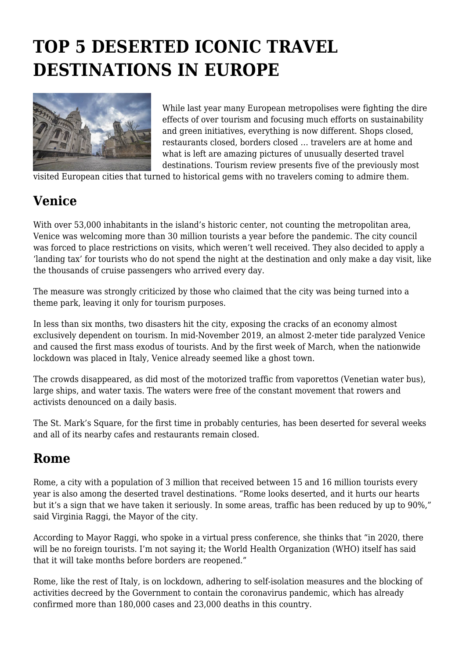# **TOP 5 DESERTED ICONIC TRAVEL DESTINATIONS IN EUROPE**



While last year many European metropolises were fighting the dire effects of over tourism and focusing much efforts on sustainability and green initiatives, everything is now different. Shops closed, restaurants closed, borders closed … travelers are at home and what is left are amazing pictures of unusually deserted travel destinations. Tourism review presents five of the previously most

visited European cities that turned to historical gems with no travelers coming to admire them.

#### **Venice**

With over 53,000 inhabitants in the island's historic center, not counting the metropolitan area, Venice was welcoming more than 30 million tourists a year before the pandemic. The city council was forced to place restrictions on visits, which weren't well received. They also decided to apply a 'landing tax' for tourists who do not spend the night at the destination and only make a day visit, like the thousands of cruise passengers who arrived every day.

The measure was strongly criticized by those who claimed that the city was being turned into a theme park, leaving it only for tourism purposes.

In less than six months, two disasters hit the city, exposing the cracks of an economy almost exclusively dependent on tourism. In mid-November 2019, an almost 2-meter tide paralyzed Venice and caused the first mass exodus of tourists. And by the first week of March, when the nationwide lockdown was placed in Italy, Venice already seemed like a ghost town.

The crowds disappeared, as did most of the motorized traffic from vaporettos (Venetian water bus), large ships, and water taxis. The waters were free of the constant movement that rowers and activists denounced on a daily basis.

The St. Mark's Square, for the first time in probably centuries, has been deserted for several weeks and all of its nearby cafes and restaurants remain closed.

#### **Rome**

Rome, a city with a population of 3 million that received between 15 and 16 million tourists every year is also among the deserted travel destinations. "Rome looks deserted, and it hurts our hearts but it's a sign that we have taken it seriously. In some areas, traffic has been reduced by up to 90%," said Virginia Raggi, the Mayor of the city.

According to Mayor Raggi, who spoke in a virtual press conference, she thinks that "in 2020, there will be no foreign tourists. I'm not saying it; the World Health Organization (WHO) itself has said that it will take months before borders are reopened."

Rome, like the rest of Italy, is on lockdown, adhering to self-isolation measures and the blocking of activities decreed by the Government to contain the coronavirus pandemic, which has already confirmed more than 180,000 cases and 23,000 deaths in this country.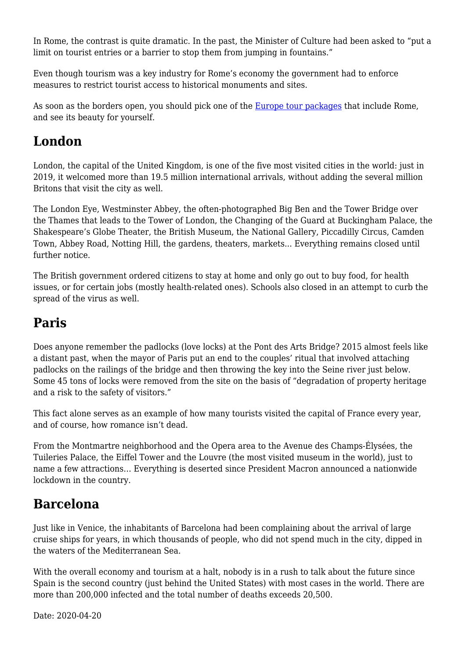In Rome, the contrast is quite dramatic. In the past, the Minister of Culture had been asked to "put a limit on tourist entries or a barrier to stop them from jumping in fountains."

Even though tourism was a key industry for Rome's economy the government had to enforce measures to restrict tourist access to historical monuments and sites.

As soon as the borders open, you should pick one of the [Europe tour packages](https://www.bookmundi.com/europe) that include Rome, and see its beauty for yourself.

## **London**

London, the capital of the United Kingdom, is one of the five most visited cities in the world: just in 2019, it welcomed more than 19.5 million international arrivals, without adding the several million Britons that visit the city as well.

The London Eye, Westminster Abbey, the often-photographed Big Ben and the Tower Bridge over the Thames that leads to the Tower of London, the Changing of the Guard at Buckingham Palace, the Shakespeare's Globe Theater, the British Museum, the National Gallery, Piccadilly Circus, Camden Town, Abbey Road, Notting Hill, the gardens, theaters, markets... Everything remains closed until further notice.

The British government ordered citizens to stay at home and only go out to buy food, for health issues, or for certain jobs (mostly health-related ones). Schools also closed in an attempt to curb the spread of the virus as well.

## **Paris**

Does anyone remember the padlocks (love locks) at the Pont des Arts Bridge? 2015 almost feels like a distant past, when the mayor of Paris put an end to the couples' ritual that involved attaching padlocks on the railings of the bridge and then throwing the key into the Seine river just below. Some 45 tons of locks were removed from the site on the basis of "degradation of property heritage and a risk to the safety of visitors."

This fact alone serves as an example of how many tourists visited the capital of France every year, and of course, how romance isn't dead.

From the Montmartre neighborhood and the Opera area to the Avenue des Champs-Élysées, the Tuileries Palace, the Eiffel Tower and the Louvre (the most visited museum in the world), just to name a few attractions… Everything is deserted since President Macron announced a nationwide lockdown in the country.

# **Barcelona**

Just like in Venice, the inhabitants of Barcelona had been complaining about the arrival of large cruise ships for years, in which thousands of people, who did not spend much in the city, dipped in the waters of the Mediterranean Sea.

With the overall economy and tourism at a halt, nobody is in a rush to talk about the future since Spain is the second country (just behind the United States) with most cases in the world. There are more than 200,000 infected and the total number of deaths exceeds 20,500.